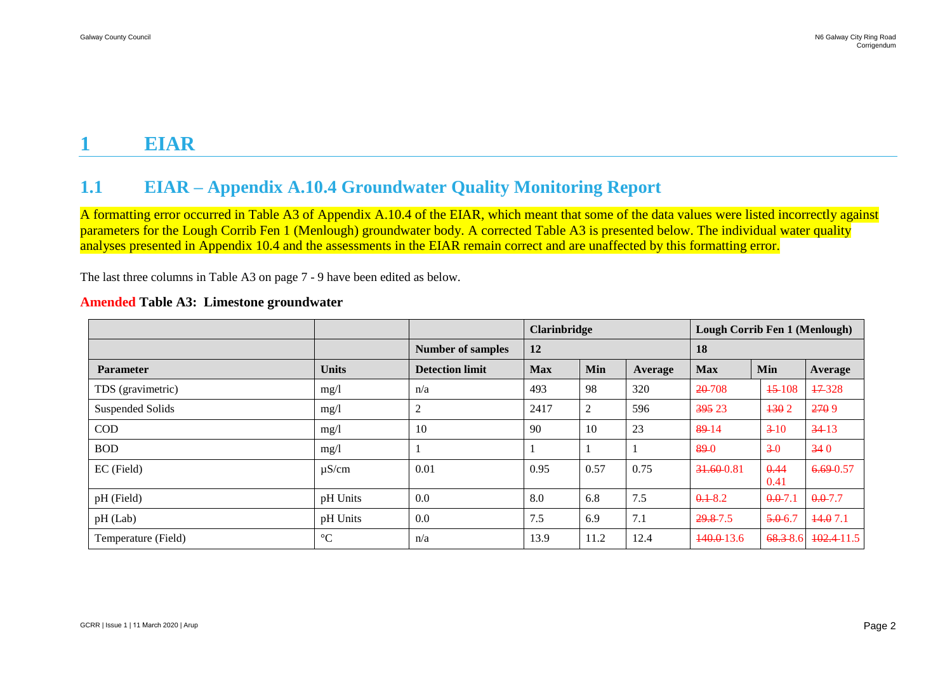# **1 EIAR**

## **1.1 EIAR – Appendix A.10.4 Groundwater Quality Monitoring Report**

A formatting error occurred in Table A3 of Appendix A.10.4 of the EIAR, which meant that some of the data values were listed incorrectly against parameters for the Lough Corrib Fen 1 (Menlough) groundwater body. A corrected Table A3 is presented below. The individual water quality analyses presented in Appendix 10.4 and the assessments in the EIAR remain correct and are unaffected by this formatting error.

The last three columns in Table A3 on page 7 - 9 have been edited as below.

|                     |                 |                          | <b>Clarinbridge</b> |      |         | <b>Lough Corrib Fen 1 (Menlough)</b> |              |                |
|---------------------|-----------------|--------------------------|---------------------|------|---------|--------------------------------------|--------------|----------------|
|                     |                 | <b>Number of samples</b> | 12                  |      |         | 18                                   |              |                |
| <b>Parameter</b>    | <b>Units</b>    | <b>Detection limit</b>   | <b>Max</b>          | Min  | Average | <b>Max</b>                           | Min          | <b>Average</b> |
| TDS (gravimetric)   | mg/1            | n/a                      | 493                 | 98   | 320     | $20-708$                             | $+5-108$     | $17-328$       |
| Suspended Solids    | mg/1            | $\overline{c}$           | 2417                | 2    | 596     | 395 23                               | 1302         | 2709           |
| $\rm COD$           | mg/l            | 10                       | 90                  | 10   | 23      | $89-14$                              | $3 - 10$     | $34-13$        |
| <b>BOD</b>          | mg/1            |                          |                     |      |         | 89-0                                 | $3-0$        | 340            |
| EC (Field)          | $\mu$ S/cm      | 0.01                     | 0.95                | 0.57 | 0.75    | 31.60-0.81                           | 0.44<br>0.41 | $6.69 - 0.57$  |
| pH (Field)          | pH Units        | 0.0                      | 8.0                 | 6.8  | 7.5     | $0.1 - 8.2$                          | $0.0 - 7.1$  | $0.0 - 7.7$    |
| pH (Lab)            | pH Units        | 0.0                      | 7.5                 | 6.9  | 7.1     | 29.8-7.5                             | $5.0 - 6.7$  | 14.07.1        |
| Temperature (Field) | $\rm ^{\circ}C$ | n/a                      | 13.9                | 11.2 | 12.4    | $140.0 - 13.6$                       | 68.3-8.6     | 102.411.5      |

#### **Amended Table A3: Limestone groundwater**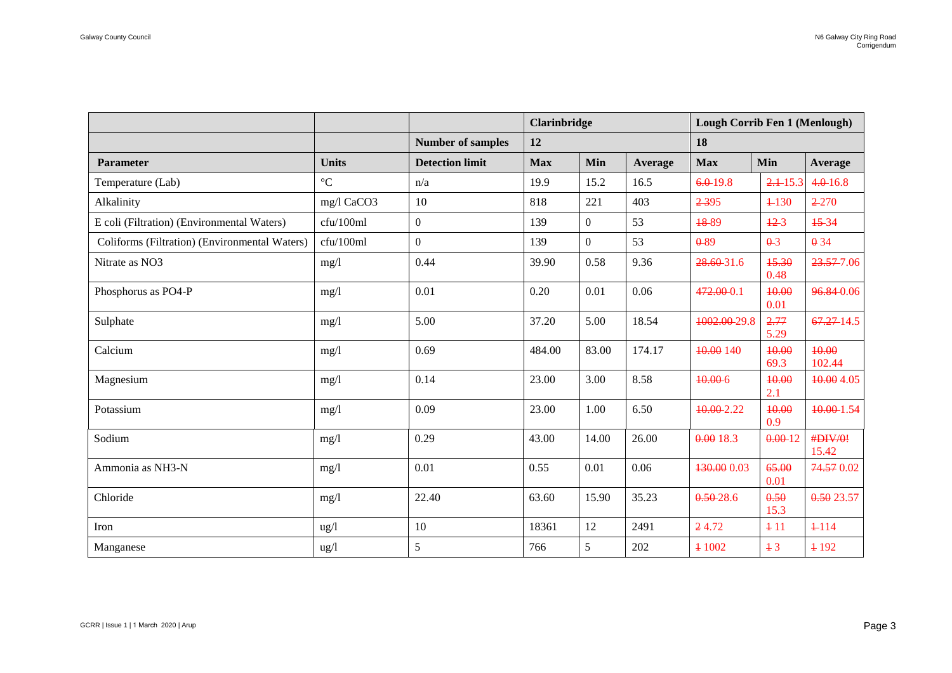|                                               |                 |                          | <b>Clarinbridge</b> |                  |        | <b>Lough Corrib Fen 1 (Menlough)</b> |               |                  |
|-----------------------------------------------|-----------------|--------------------------|---------------------|------------------|--------|--------------------------------------|---------------|------------------|
|                                               |                 | <b>Number of samples</b> | 12                  |                  |        | 18                                   |               |                  |
| <b>Parameter</b>                              | <b>Units</b>    | <b>Detection limit</b>   | <b>Max</b>          | Min<br>Average   |        | <b>Max</b>                           | Min           | Average          |
| Temperature (Lab)                             | $\rm ^{\circ}C$ | n/a                      | 19.9                | 15.2             | 16.5   | $6.0 - 19.8$                         | 2.115.3       | $4.0 - 16.8$     |
| Alkalinity                                    | mg/l CaCO3      | 10                       | 818                 | 221              | 403    | 2395                                 | $+130$        | $2 - 270$        |
| E coli (Filtration) (Environmental Waters)    | cfu/100ml       | $\overline{0}$           | 139                 | $\boldsymbol{0}$ | 53     | 18-89                                | $12-3$        | 15-34            |
| Coliforms (Filtration) (Environmental Waters) | cfu/100ml       | $\overline{0}$           | 139                 | $\overline{0}$   | 53     | $0 - 89$                             | $\theta - 3$  | $\theta$ 34      |
| Nitrate as NO3                                | mg/l            | 0.44                     | 39.90               | 0.58             | 9.36   | 28.60-31.6                           | 45.30<br>0.48 | 23.57-7.06       |
| Phosphorus as PO4-P                           | mg/l            | 0.01                     | 0.20                | 0.01             | 0.06   | 472.00-0.1                           | 40.00<br>0.01 | 96.84-0.06       |
| Sulphate                                      | mg/l            | 5.00                     | 37.20               | 5.00             | 18.54  | 1002.00-29.8                         | 2.77<br>5.29  | $67.27 - 14.5$   |
| Calcium                                       | mg/l            | 0.69                     | 484.00              | 83.00            | 174.17 | 40.00 140                            | 40.00<br>69.3 | 10.00<br>102.44  |
| Magnesium                                     | mg/1            | 0.14                     | 23.00               | 3.00             | 8.58   | 10.00-6                              | 40.00<br>2.1  | 10.00 4.05       |
| Potassium                                     | mg/l            | 0.09                     | 23.00               | 1.00             | 6.50   | 10.00-2.22                           | 40.00<br>0.9  | 10.00-1.54       |
| Sodium                                        | mg/l            | 0.29                     | 43.00               | 14.00            | 26.00  | 0.00 18.3                            | 0.00-12       | #DIV/0!<br>15.42 |
| Ammonia as NH3-N                              | mg/l            | 0.01                     | 0.55                | 0.01             | 0.06   | 130.00 0.03                          | 65.00<br>0.01 | 74.57 0.02       |
| Chloride                                      | mg/1            | 22.40                    | 63.60               | 15.90            | 35.23  | $0.50 - 28.6$                        | 0.50<br>15.3  | 0.5023.57        |
| Iron                                          | ug/l            | 10                       | 18361               | 12               | 2491   | 24.72                                | $+11$         | $+114$           |
| Manganese                                     | $\frac{u g}{l}$ | $\sqrt{5}$               | 766                 | 5                | 202    | 4 1002                               | $+3$          | $+192$           |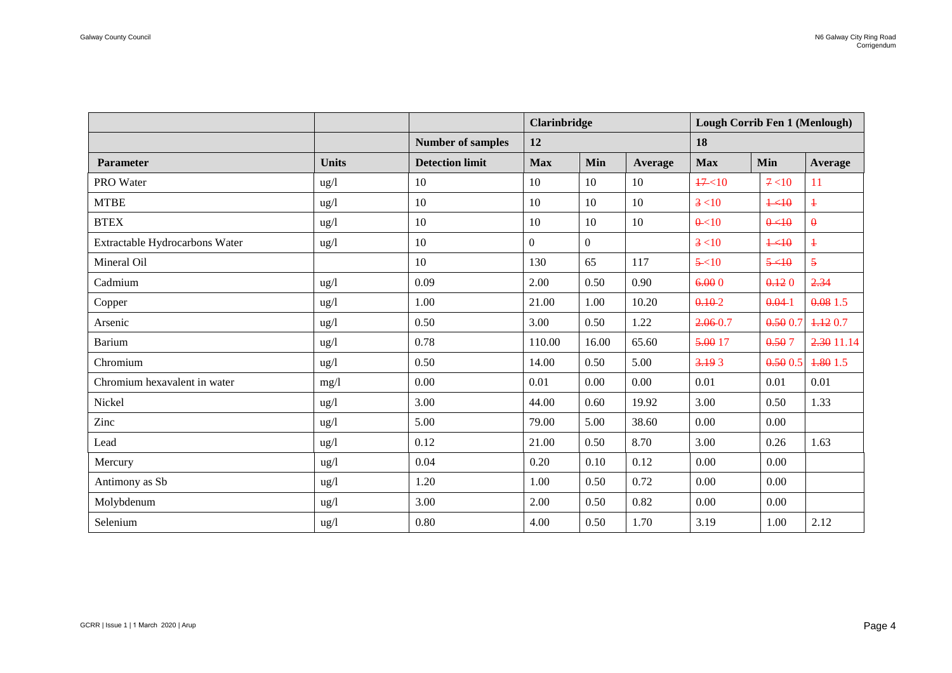|                                |              |                          | <b>Clarinbridge</b> |          |                | Lough Corrib Fen 1 (Menlough) |            |                |  |
|--------------------------------|--------------|--------------------------|---------------------|----------|----------------|-------------------------------|------------|----------------|--|
|                                |              | <b>Number of samples</b> | 12                  |          |                | 18                            |            |                |  |
| Parameter                      | <b>Units</b> | <b>Detection limit</b>   | <b>Max</b>          | Min      | <b>Average</b> | <b>Max</b>                    | Min        | Average        |  |
| PRO Water                      | ug/l         | 10                       | 10                  | 10       | 10             | $47 - 10$                     | 7 < 10     | 11             |  |
| <b>MTBE</b>                    | ug/l         | 10                       | 10                  | 10       | 10             | 3 < 10                        | $+40$      | $\ddagger$     |  |
| <b>BTEX</b>                    | ug/l         | 10                       | 10                  | 10       | 10             | $\theta$ < 10                 | 0<10       | $\theta$       |  |
| Extractable Hydrocarbons Water | ug/l         | 10                       | $\overline{0}$      | $\Omega$ |                | 3 < 10                        | $1 - 10$   | $\ddagger$     |  |
| Mineral Oil                    |              | 10                       | 130                 | 65       | 117            | $5 - 10$                      | $5 - 10$   | $\overline{5}$ |  |
| Cadmium                        | ug/l         | 0.09                     | 2.00                | 0.50     | 0.90           | 6.000                         | 0.120      | 2.34           |  |
| Copper                         | ug/l         | 1.00                     | 21.00               | 1.00     | 10.20          | $0.10 - 2$                    | $0.04 - 1$ | 0.081.5        |  |
| Arsenic                        | ug/l         | 0.50                     | 3.00                | 0.50     | 1.22           | $2.06 - 0.7$                  | 0.500.7    | 4.120.7        |  |
| <b>Barium</b>                  | ug/l         | 0.78                     | 110.00              | 16.00    | 65.60          | 5.00 17                       | 0.507      | 2.30 11.14     |  |
| Chromium                       | ug/l         | 0.50                     | 14.00               | 0.50     | 5.00           | 3.193                         | 0.5005     | 1.80 1.5       |  |
| Chromium hexavalent in water   | mg/l         | 0.00                     | 0.01                | 0.00     | 0.00           | 0.01                          | 0.01       | 0.01           |  |
| Nickel                         | ug/l         | 3.00                     | 44.00               | 0.60     | 19.92          | 3.00                          | 0.50       | 1.33           |  |
| Zinc                           | ug/l         | 5.00                     | 79.00               | 5.00     | 38.60          | 0.00                          | 0.00       |                |  |
| Lead                           | ug/l         | 0.12                     | 21.00               | 0.50     | 8.70           | 3.00                          | 0.26       | 1.63           |  |
| Mercury                        | ug/l         | 0.04                     | 0.20                | 0.10     | 0.12           | 0.00                          | 0.00       |                |  |
| Antimony as Sb                 | ug/l         | 1.20                     | 1.00                | 0.50     | 0.72           | 0.00                          | 0.00       |                |  |
| Molybdenum                     | ug/l         | 3.00                     | 2.00                | 0.50     | 0.82           | 0.00                          | 0.00       |                |  |
| Selenium                       | ug/l         | 0.80                     | 4.00                | 0.50     | 1.70           | 3.19                          | 1.00       | 2.12           |  |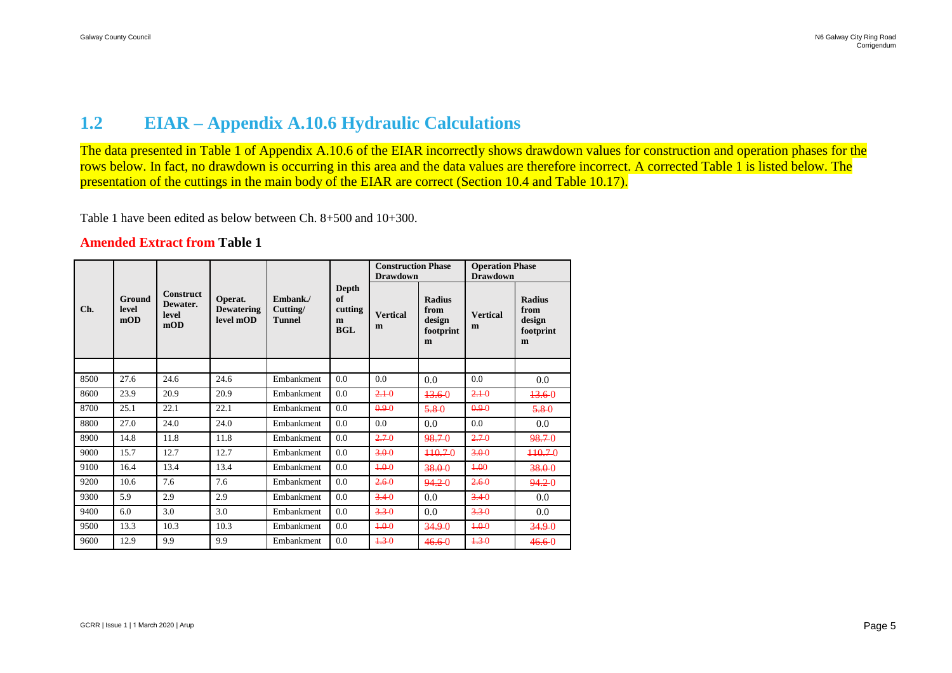### **1.2 EIAR – Appendix A.10.6 Hydraulic Calculations**

The data presented in Table 1 of Appendix A.10.6 of the EIAR incorrectly shows drawdown values for construction and operation phases for the rows below. In fact, no drawdown is occurring in this area and the data values are therefore incorrect. A corrected Table 1 is listed below. The presentation of the cuttings in the main body of the EIAR are correct (Section 10.4 and Table 10.17).

Table 1 have been edited as below between Ch. 8+500 and 10+300.

#### **Amended Extract from Table 1**

| Ch.  |                        | <b>Construct</b><br>Dewater.<br>level<br>mOD | Operat.<br><b>Dewatering</b><br>level mOD | Embank./<br>Cutting/<br><b>Tunnel</b> |                                           | <b>Construction Phase</b><br><b>Drawdown</b> |                                                   | <b>Operation Phase</b><br><b>Drawdown</b> |                                                   |
|------|------------------------|----------------------------------------------|-------------------------------------------|---------------------------------------|-------------------------------------------|----------------------------------------------|---------------------------------------------------|-------------------------------------------|---------------------------------------------------|
|      | Ground<br>level<br>mOD |                                              |                                           |                                       | Depth<br>of<br>cutting<br>m<br><b>BGL</b> | <b>Vertical</b><br>m                         | <b>Radius</b><br>from<br>design<br>footprint<br>m | <b>Vertical</b><br>m                      | <b>Radius</b><br>from<br>design<br>footprint<br>m |
|      |                        |                                              |                                           |                                       |                                           |                                              |                                                   |                                           |                                                   |
| 8500 | 27.6                   | 24.6                                         | 24.6                                      | Embankment                            | 0.0                                       | 0.0                                          | 0.0                                               | 0.0                                       | 0.0                                               |
| 8600 | 23.9                   | 20.9                                         | 20.9                                      | Embankment                            | 0.0                                       | $2.1 - 0$                                    | 13.60                                             | $2.1 - 0$                                 | 13.60                                             |
| 8700 | 25.1                   | 22.1                                         | 22.1                                      | Embankment                            | 0.0                                       | 0.90                                         | 5.80                                              | 0.90                                      | 5.80                                              |
| 8800 | 27.0                   | 24.0                                         | 24.0                                      | Embankment                            | 0.0                                       | 0.0                                          | 0.0                                               | 0.0                                       | 0.0                                               |
| 8900 | 14.8                   | 11.8                                         | 11.8                                      | Embankment                            | 0.0                                       | 2.70                                         | 98.70                                             | 2.70                                      | 98.70                                             |
| 9000 | 15.7                   | 12.7                                         | 12.7                                      | Embankment                            | 0.0                                       | 3.00                                         | $+10.70$                                          | 3.00                                      | $+10.70$                                          |
| 9100 | 16.4                   | 13.4                                         | 13.4                                      | Embankment                            | 0.0                                       | 4.00                                         | 38.00                                             | 4.00                                      | 38.00                                             |
| 9200 | 10.6                   | 7.6                                          | 7.6                                       | Embankment                            | 0.0                                       | 2.60                                         | 94.20                                             | 2.60                                      | 94.20                                             |
| 9300 | 5.9                    | 2.9                                          | 2.9                                       | Embankment                            | 0.0                                       | 3.40                                         | 0.0                                               | 3.40                                      | 0.0                                               |
| 9400 | 6.0                    | 3.0                                          | 3.0                                       | Embankment                            | 0.0                                       | $3.3 - 0$                                    | 0.0                                               | $3.3 - 0$                                 | 0.0                                               |
| 9500 | 13.3                   | 10.3                                         | 10.3                                      | Embankment                            | 0.0                                       | 4.00                                         | 34.90                                             | 4.00                                      | 34.90                                             |
| 9600 | 12.9                   | 9.9                                          | 9.9                                       | Embankment                            | 0.0                                       | $4.3 - 0$                                    | $46.6 - 0$                                        | $4.3 - 0$                                 | 46.6-0                                            |